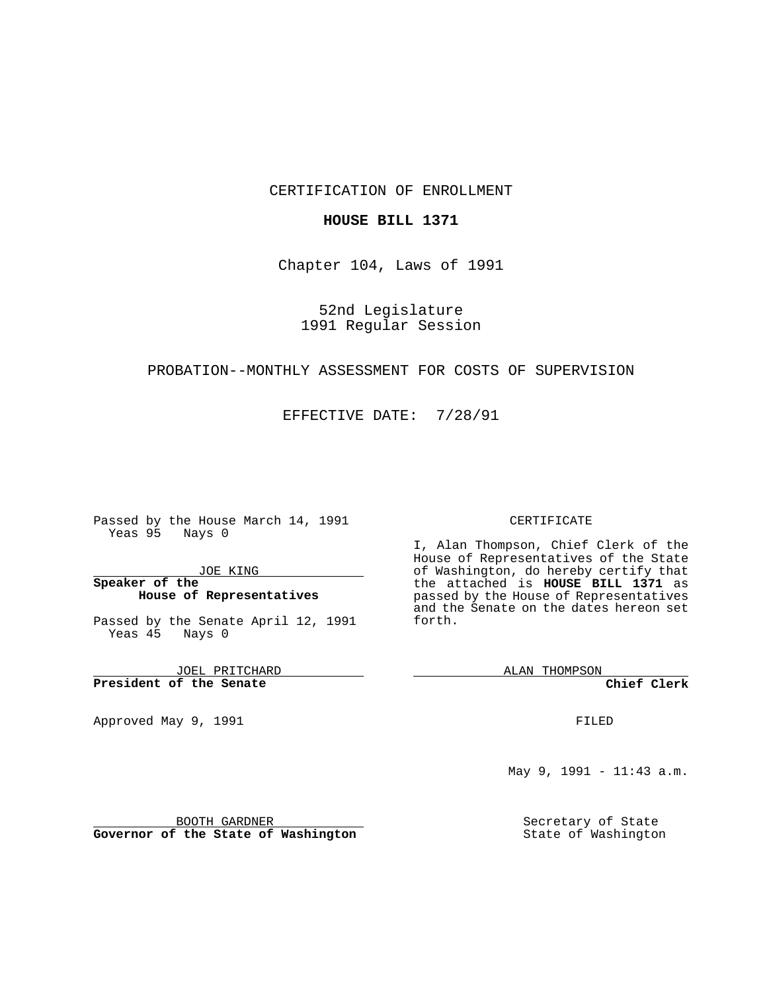## CERTIFICATION OF ENROLLMENT

#### **HOUSE BILL 1371**

Chapter 104, Laws of 1991

# 52nd Legislature 1991 Regular Session

## PROBATION--MONTHLY ASSESSMENT FOR COSTS OF SUPERVISION

#### EFFECTIVE DATE: 7/28/91

Passed by the House March 14, 1991 Yeas 95 Nays 0

JOE KING

## **Speaker of the House of Representatives**

Passed by the Senate April 12, 1991 Yeas 45 Nays 0

JOEL PRITCHARD **President of the Senate**

Approved May 9, 1991

#### CERTIFICATE

I, Alan Thompson, Chief Clerk of the House of Representatives of the State of Washington, do hereby certify that the attached is **HOUSE BILL 1371** as passed by the House of Representatives and the Senate on the dates hereon set forth.

ALAN THOMPSON

**Chief Clerk**

FILED

May 9, 1991 - 11:43 a.m.

Secretary of State State of Washington

BOOTH GARDNER **Governor of the State of Washington**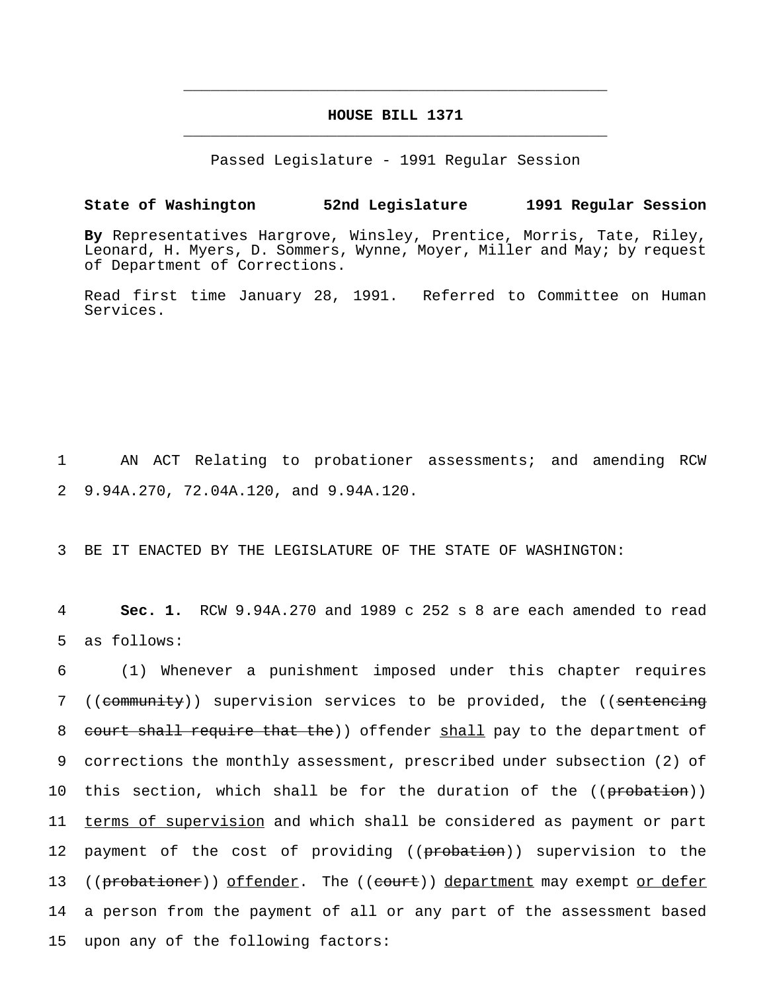# **HOUSE BILL 1371** \_\_\_\_\_\_\_\_\_\_\_\_\_\_\_\_\_\_\_\_\_\_\_\_\_\_\_\_\_\_\_\_\_\_\_\_\_\_\_\_\_\_\_\_\_\_\_

\_\_\_\_\_\_\_\_\_\_\_\_\_\_\_\_\_\_\_\_\_\_\_\_\_\_\_\_\_\_\_\_\_\_\_\_\_\_\_\_\_\_\_\_\_\_\_

Passed Legislature - 1991 Regular Session

#### **State of Washington 52nd Legislature 1991 Regular Session**

**By** Representatives Hargrove, Winsley, Prentice, Morris, Tate, Riley, Leonard, H. Myers, D. Sommers, Wynne, Moyer, Miller and May; by request of Department of Corrections.

Read first time January 28, 1991. Referred to Committee on Human Services.

1 AN ACT Relating to probationer assessments; and amending RCW 2 9.94A.270, 72.04A.120, and 9.94A.120.

3 BE IT ENACTED BY THE LEGISLATURE OF THE STATE OF WASHINGTON:

4 **Sec. 1.** RCW 9.94A.270 and 1989 c 252 s 8 are each amended to read 5 as follows:

6 (1) Whenever a punishment imposed under this chapter requires 7 ((community)) supervision services to be provided, the ((sentencing 8 court shall require that the)) offender shall pay to the department of 9 corrections the monthly assessment, prescribed under subsection (2) of 10 this section, which shall be for the duration of the ((probation)) 11 terms of supervision and which shall be considered as payment or part 12 payment of the cost of providing ((probation)) supervision to the 13 ((probationer)) offender. The ((court)) department may exempt or defer 14 a person from the payment of all or any part of the assessment based 15 upon any of the following factors: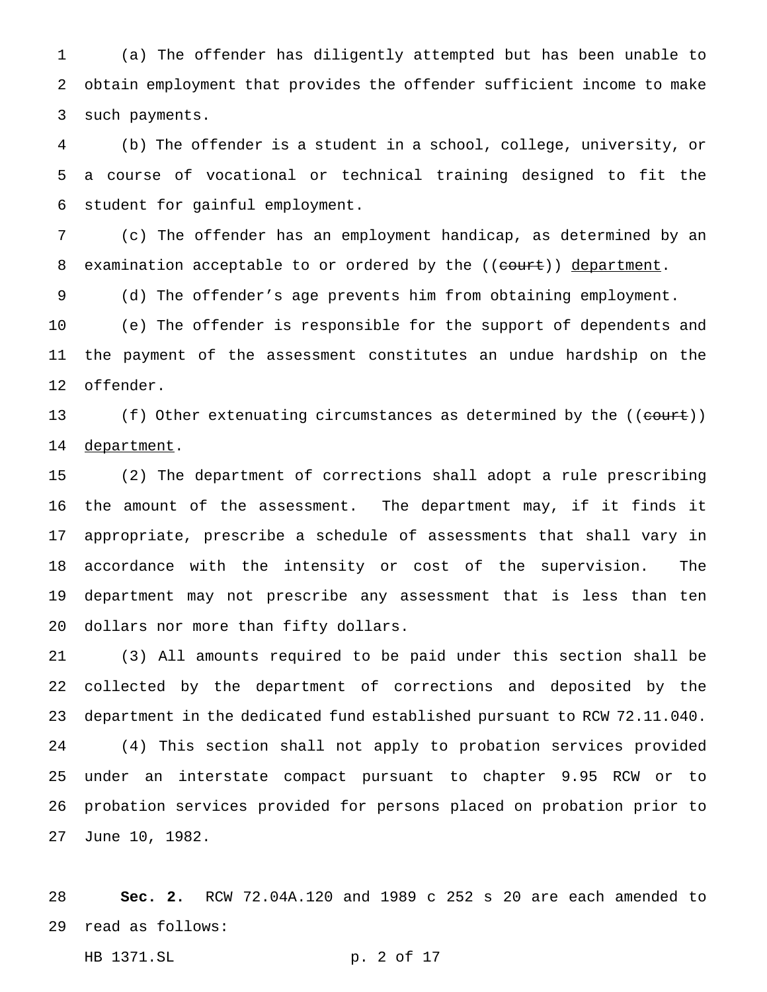(a) The offender has diligently attempted but has been unable to obtain employment that provides the offender sufficient income to make such payments.

 (b) The offender is a student in a school, college, university, or a course of vocational or technical training designed to fit the student for gainful employment.

 (c) The offender has an employment handicap, as determined by an 8 examination acceptable to or ordered by the ((court)) department.

(d) The offender's age prevents him from obtaining employment.

 (e) The offender is responsible for the support of dependents and the payment of the assessment constitutes an undue hardship on the offender.

13 (f) Other extenuating circumstances as determined by the ((court)) 14 department.

 (2) The department of corrections shall adopt a rule prescribing the amount of the assessment. The department may, if it finds it appropriate, prescribe a schedule of assessments that shall vary in accordance with the intensity or cost of the supervision. The department may not prescribe any assessment that is less than ten dollars nor more than fifty dollars.

 (3) All amounts required to be paid under this section shall be collected by the department of corrections and deposited by the department in the dedicated fund established pursuant to RCW 72.11.040. (4) This section shall not apply to probation services provided under an interstate compact pursuant to chapter 9.95 RCW or to probation services provided for persons placed on probation prior to June 10, 1982.

 **Sec. 2.** RCW 72.04A.120 and 1989 c 252 s 20 are each amended to read as follows:

HB 1371.SL p. 2 of 17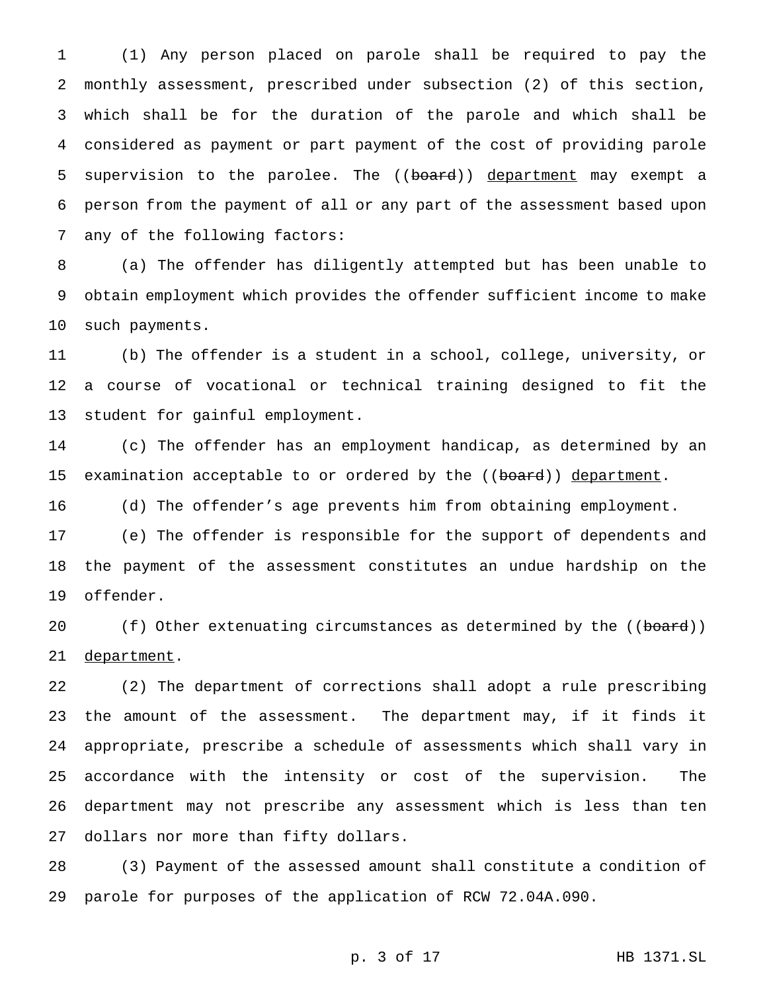(1) Any person placed on parole shall be required to pay the monthly assessment, prescribed under subsection (2) of this section, which shall be for the duration of the parole and which shall be considered as payment or part payment of the cost of providing parole 5 supervision to the parolee. The ((board)) department may exempt a person from the payment of all or any part of the assessment based upon any of the following factors:

 (a) The offender has diligently attempted but has been unable to obtain employment which provides the offender sufficient income to make such payments.

 (b) The offender is a student in a school, college, university, or a course of vocational or technical training designed to fit the student for gainful employment.

 (c) The offender has an employment handicap, as determined by an 15 examination acceptable to or ordered by the ((board)) department.

(d) The offender's age prevents him from obtaining employment.

 (e) The offender is responsible for the support of dependents and the payment of the assessment constitutes an undue hardship on the offender.

20 (f) Other extenuating circumstances as determined by the ((board)) 21 department.

 (2) The department of corrections shall adopt a rule prescribing the amount of the assessment. The department may, if it finds it appropriate, prescribe a schedule of assessments which shall vary in accordance with the intensity or cost of the supervision. The department may not prescribe any assessment which is less than ten dollars nor more than fifty dollars.

 (3) Payment of the assessed amount shall constitute a condition of parole for purposes of the application of RCW 72.04A.090.

p. 3 of 17 HB 1371.SL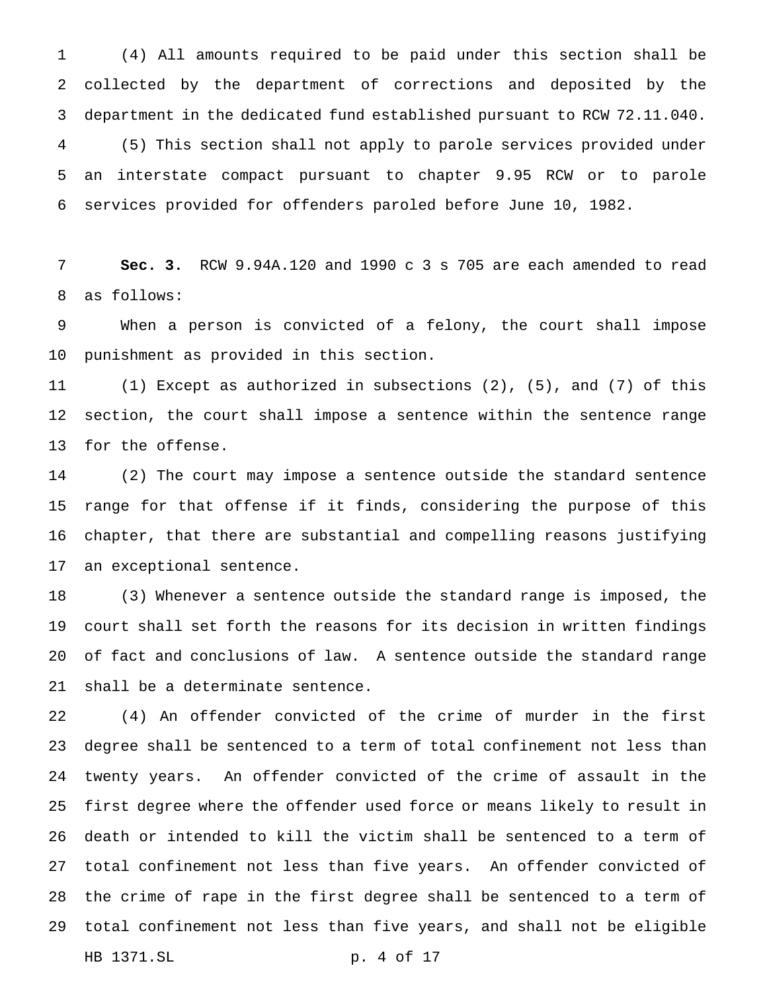(4) All amounts required to be paid under this section shall be collected by the department of corrections and deposited by the department in the dedicated fund established pursuant to RCW 72.11.040. (5) This section shall not apply to parole services provided under an interstate compact pursuant to chapter 9.95 RCW or to parole services provided for offenders paroled before June 10, 1982.

 **Sec. 3.** RCW 9.94A.120 and 1990 c 3 s 705 are each amended to read as follows:

 When a person is convicted of a felony, the court shall impose punishment as provided in this section.

 (1) Except as authorized in subsections (2), (5), and (7) of this section, the court shall impose a sentence within the sentence range for the offense.

 (2) The court may impose a sentence outside the standard sentence range for that offense if it finds, considering the purpose of this chapter, that there are substantial and compelling reasons justifying an exceptional sentence.

 (3) Whenever a sentence outside the standard range is imposed, the court shall set forth the reasons for its decision in written findings of fact and conclusions of law. A sentence outside the standard range shall be a determinate sentence.

 (4) An offender convicted of the crime of murder in the first degree shall be sentenced to a term of total confinement not less than twenty years. An offender convicted of the crime of assault in the first degree where the offender used force or means likely to result in death or intended to kill the victim shall be sentenced to a term of total confinement not less than five years. An offender convicted of the crime of rape in the first degree shall be sentenced to a term of total confinement not less than five years, and shall not be eligible HB 1371.SL p. 4 of 17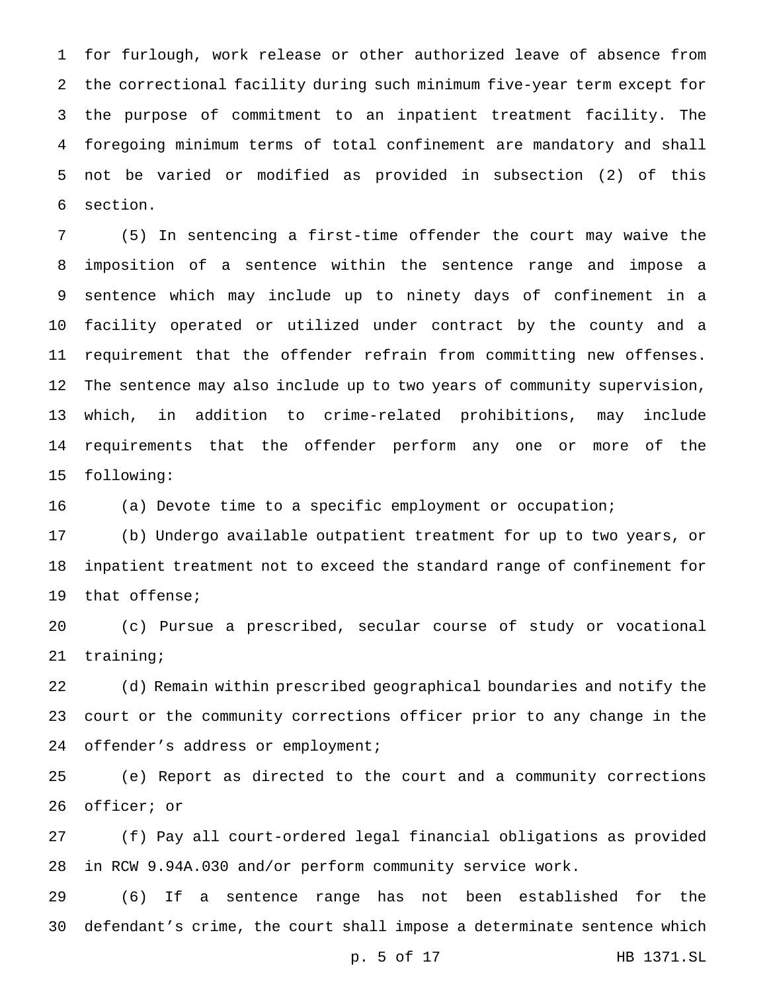for furlough, work release or other authorized leave of absence from the correctional facility during such minimum five-year term except for the purpose of commitment to an inpatient treatment facility. The foregoing minimum terms of total confinement are mandatory and shall not be varied or modified as provided in subsection (2) of this section.

 (5) In sentencing a first-time offender the court may waive the imposition of a sentence within the sentence range and impose a sentence which may include up to ninety days of confinement in a facility operated or utilized under contract by the county and a requirement that the offender refrain from committing new offenses. The sentence may also include up to two years of community supervision, which, in addition to crime-related prohibitions, may include requirements that the offender perform any one or more of the following:

16 (a) Devote time to a specific employment or occupation;

 (b) Undergo available outpatient treatment for up to two years, or inpatient treatment not to exceed the standard range of confinement for that offense;

 (c) Pursue a prescribed, secular course of study or vocational training;

 (d) Remain within prescribed geographical boundaries and notify the court or the community corrections officer prior to any change in the offender's address or employment;

 (e) Report as directed to the court and a community corrections officer; or

 (f) Pay all court-ordered legal financial obligations as provided in RCW 9.94A.030 and/or perform community service work.

 (6) If a sentence range has not been established for the defendant's crime, the court shall impose a determinate sentence which

p. 5 of 17 HB 1371.SL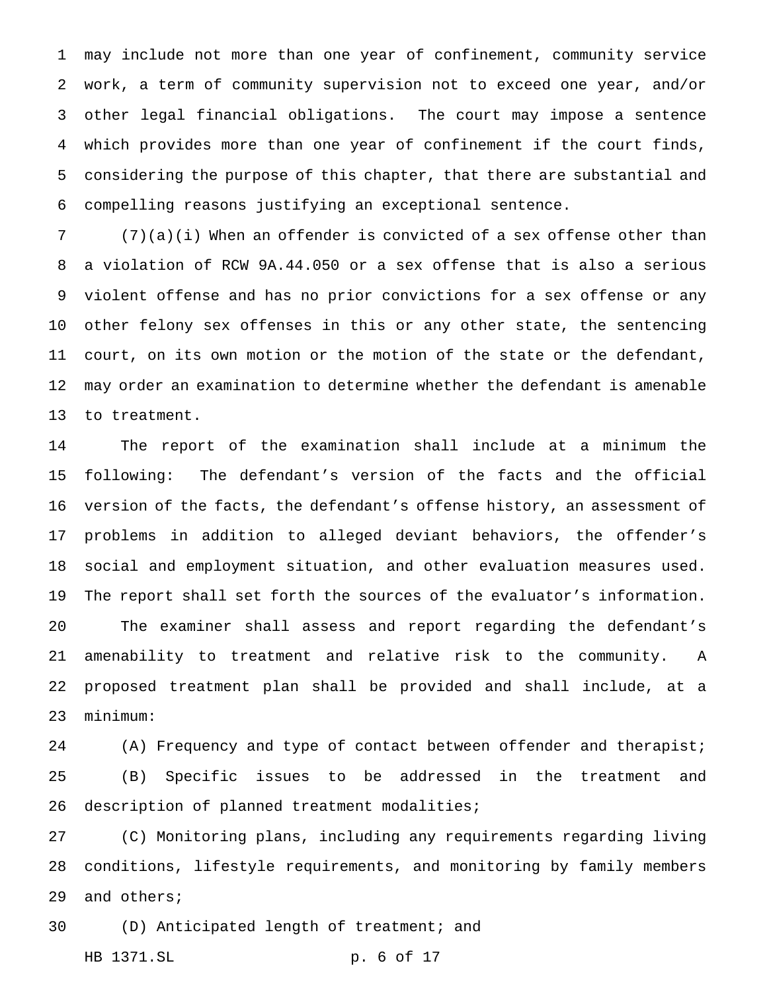may include not more than one year of confinement, community service work, a term of community supervision not to exceed one year, and/or other legal financial obligations. The court may impose a sentence which provides more than one year of confinement if the court finds, considering the purpose of this chapter, that there are substantial and compelling reasons justifying an exceptional sentence.

 (7)(a)(i) When an offender is convicted of a sex offense other than a violation of RCW 9A.44.050 or a sex offense that is also a serious violent offense and has no prior convictions for a sex offense or any other felony sex offenses in this or any other state, the sentencing court, on its own motion or the motion of the state or the defendant, may order an examination to determine whether the defendant is amenable to treatment.

 The report of the examination shall include at a minimum the following: The defendant's version of the facts and the official version of the facts, the defendant's offense history, an assessment of problems in addition to alleged deviant behaviors, the offender's social and employment situation, and other evaluation measures used. The report shall set forth the sources of the evaluator's information. The examiner shall assess and report regarding the defendant's amenability to treatment and relative risk to the community. A proposed treatment plan shall be provided and shall include, at a minimum:

24 (A) Frequency and type of contact between offender and therapist; (B) Specific issues to be addressed in the treatment and 26 description of planned treatment modalities;

 (C) Monitoring plans, including any requirements regarding living conditions, lifestyle requirements, and monitoring by family members and others;

(D) Anticipated length of treatment; and

HB 1371.SL p. 6 of 17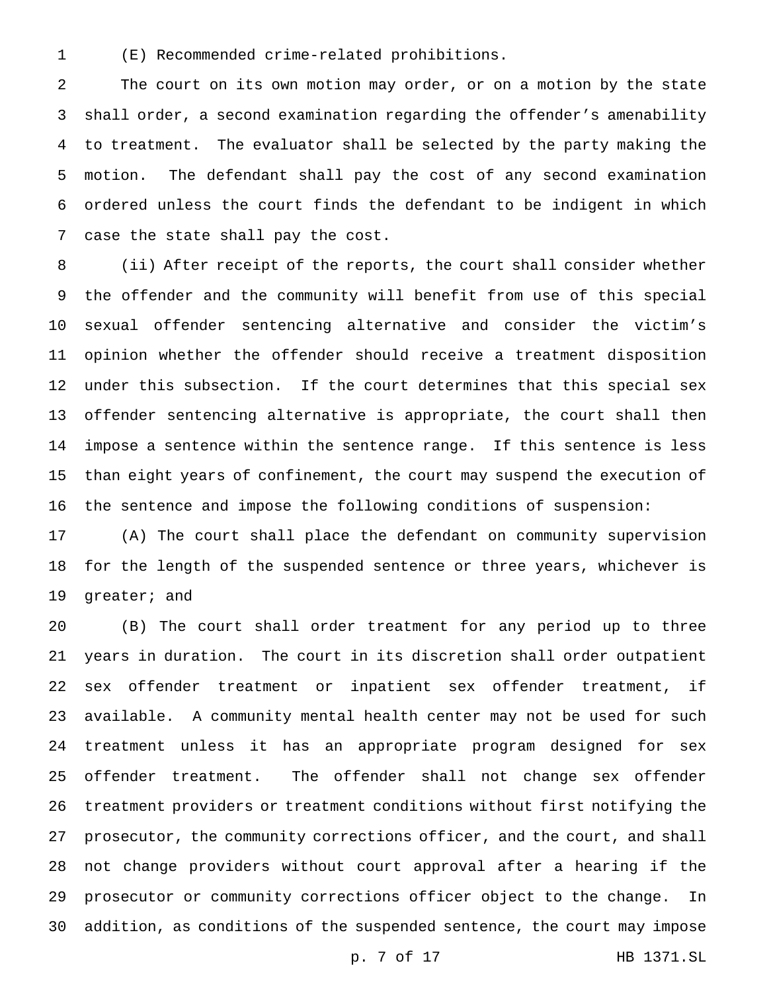(E) Recommended crime-related prohibitions.

 The court on its own motion may order, or on a motion by the state shall order, a second examination regarding the offender's amenability to treatment. The evaluator shall be selected by the party making the motion. The defendant shall pay the cost of any second examination ordered unless the court finds the defendant to be indigent in which case the state shall pay the cost.

 (ii) After receipt of the reports, the court shall consider whether the offender and the community will benefit from use of this special sexual offender sentencing alternative and consider the victim's opinion whether the offender should receive a treatment disposition under this subsection. If the court determines that this special sex offender sentencing alternative is appropriate, the court shall then impose a sentence within the sentence range. If this sentence is less than eight years of confinement, the court may suspend the execution of the sentence and impose the following conditions of suspension:

 (A) The court shall place the defendant on community supervision for the length of the suspended sentence or three years, whichever is greater; and

 (B) The court shall order treatment for any period up to three years in duration. The court in its discretion shall order outpatient sex offender treatment or inpatient sex offender treatment, if available. A community mental health center may not be used for such treatment unless it has an appropriate program designed for sex offender treatment. The offender shall not change sex offender treatment providers or treatment conditions without first notifying the prosecutor, the community corrections officer, and the court, and shall not change providers without court approval after a hearing if the prosecutor or community corrections officer object to the change. In addition, as conditions of the suspended sentence, the court may impose

p. 7 of 17 HB 1371.SL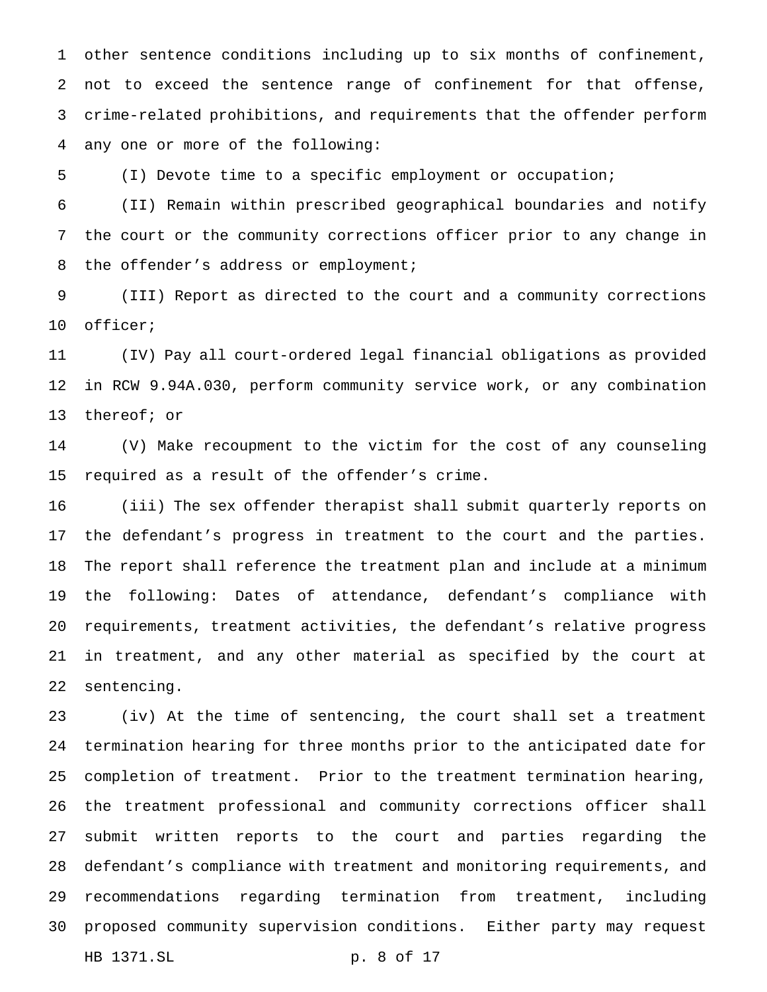other sentence conditions including up to six months of confinement, not to exceed the sentence range of confinement for that offense, crime-related prohibitions, and requirements that the offender perform any one or more of the following:

(I) Devote time to a specific employment or occupation;

 (II) Remain within prescribed geographical boundaries and notify the court or the community corrections officer prior to any change in 8 the offender's address or employment;

 (III) Report as directed to the court and a community corrections officer;

 (IV) Pay all court-ordered legal financial obligations as provided in RCW 9.94A.030, perform community service work, or any combination thereof; or

 (V) Make recoupment to the victim for the cost of any counseling required as a result of the offender's crime.

 (iii) The sex offender therapist shall submit quarterly reports on the defendant's progress in treatment to the court and the parties. The report shall reference the treatment plan and include at a minimum the following: Dates of attendance, defendant's compliance with requirements, treatment activities, the defendant's relative progress in treatment, and any other material as specified by the court at sentencing.

 (iv) At the time of sentencing, the court shall set a treatment termination hearing for three months prior to the anticipated date for completion of treatment. Prior to the treatment termination hearing, the treatment professional and community corrections officer shall submit written reports to the court and parties regarding the defendant's compliance with treatment and monitoring requirements, and recommendations regarding termination from treatment, including proposed community supervision conditions. Either party may request HB 1371.SL p. 8 of 17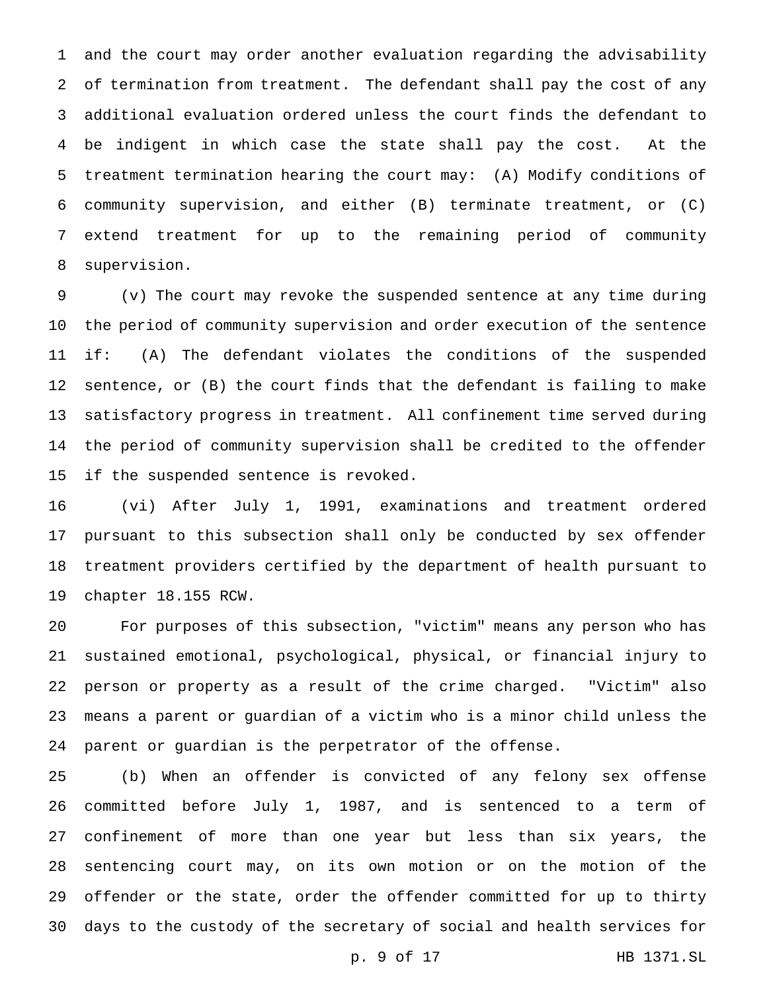and the court may order another evaluation regarding the advisability of termination from treatment. The defendant shall pay the cost of any additional evaluation ordered unless the court finds the defendant to be indigent in which case the state shall pay the cost. At the treatment termination hearing the court may: (A) Modify conditions of community supervision, and either (B) terminate treatment, or (C) extend treatment for up to the remaining period of community supervision.

 (v) The court may revoke the suspended sentence at any time during the period of community supervision and order execution of the sentence if: (A) The defendant violates the conditions of the suspended sentence, or (B) the court finds that the defendant is failing to make satisfactory progress in treatment. All confinement time served during the period of community supervision shall be credited to the offender if the suspended sentence is revoked.

 (vi) After July 1, 1991, examinations and treatment ordered pursuant to this subsection shall only be conducted by sex offender treatment providers certified by the department of health pursuant to chapter 18.155 RCW.

 For purposes of this subsection, "victim" means any person who has sustained emotional, psychological, physical, or financial injury to person or property as a result of the crime charged. "Victim" also means a parent or guardian of a victim who is a minor child unless the parent or guardian is the perpetrator of the offense.

 (b) When an offender is convicted of any felony sex offense committed before July 1, 1987, and is sentenced to a term of confinement of more than one year but less than six years, the sentencing court may, on its own motion or on the motion of the offender or the state, order the offender committed for up to thirty days to the custody of the secretary of social and health services for

p. 9 of 17 HB 1371.SL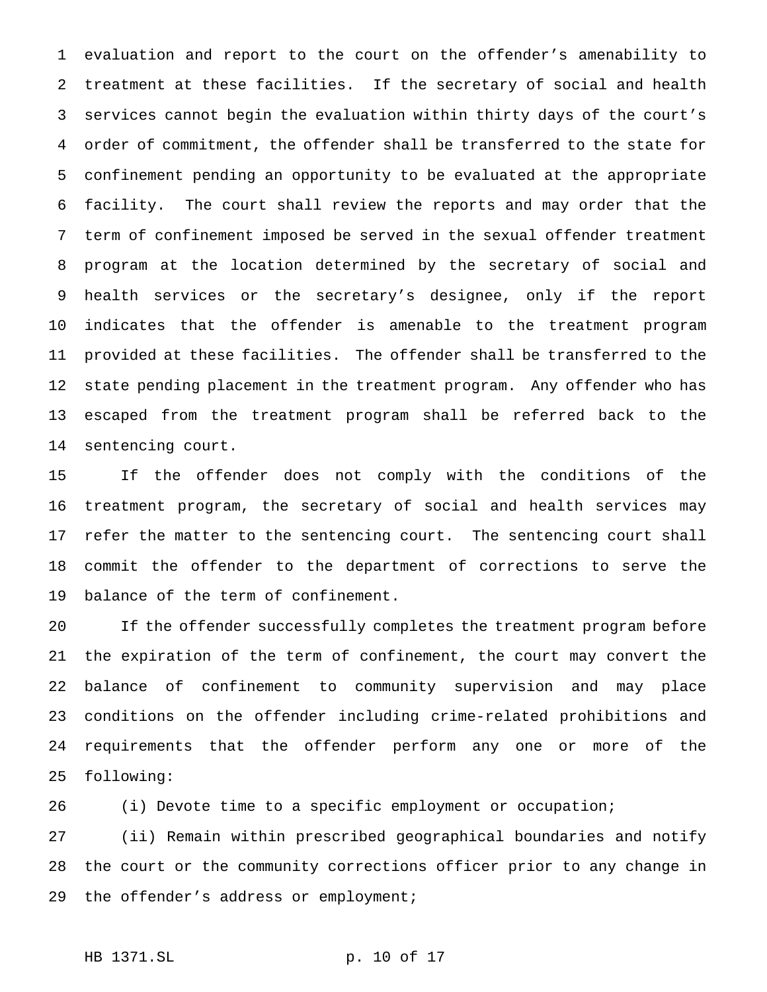evaluation and report to the court on the offender's amenability to treatment at these facilities. If the secretary of social and health services cannot begin the evaluation within thirty days of the court's order of commitment, the offender shall be transferred to the state for confinement pending an opportunity to be evaluated at the appropriate facility. The court shall review the reports and may order that the term of confinement imposed be served in the sexual offender treatment program at the location determined by the secretary of social and health services or the secretary's designee, only if the report indicates that the offender is amenable to the treatment program provided at these facilities. The offender shall be transferred to the state pending placement in the treatment program. Any offender who has escaped from the treatment program shall be referred back to the sentencing court.

 If the offender does not comply with the conditions of the treatment program, the secretary of social and health services may refer the matter to the sentencing court. The sentencing court shall commit the offender to the department of corrections to serve the balance of the term of confinement.

 If the offender successfully completes the treatment program before the expiration of the term of confinement, the court may convert the balance of confinement to community supervision and may place conditions on the offender including crime-related prohibitions and requirements that the offender perform any one or more of the following:

(i) Devote time to a specific employment or occupation;

 (ii) Remain within prescribed geographical boundaries and notify the court or the community corrections officer prior to any change in 29 the offender's address or employment;

HB 1371.SL p. 10 of 17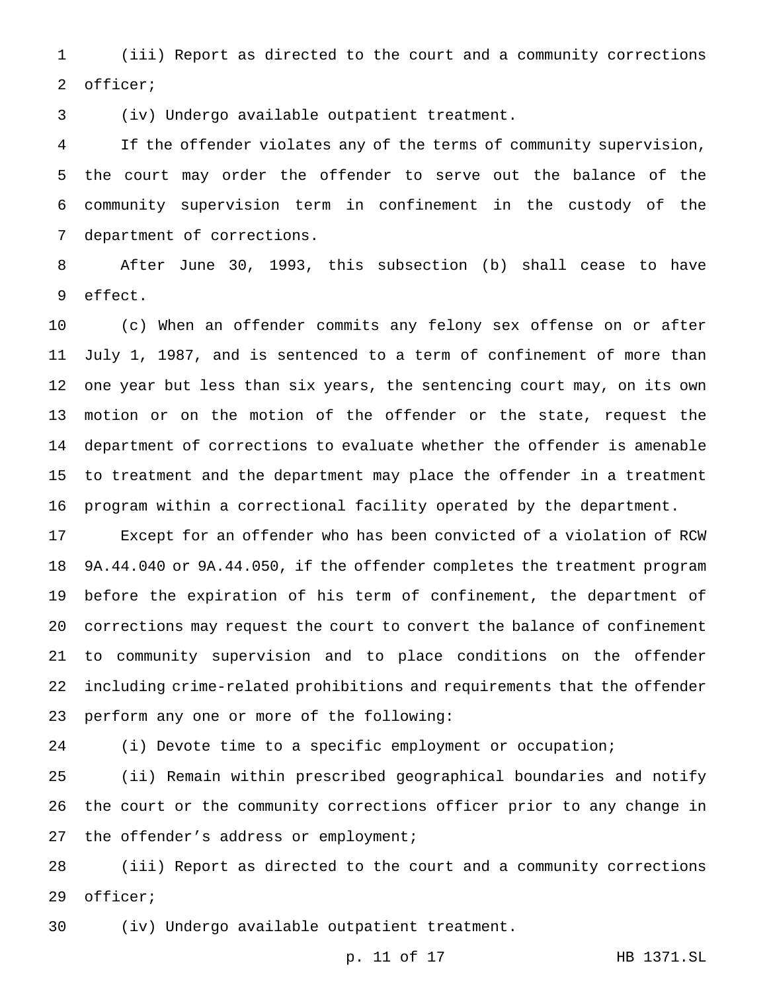(iii) Report as directed to the court and a community corrections officer;

(iv) Undergo available outpatient treatment.

 If the offender violates any of the terms of community supervision, the court may order the offender to serve out the balance of the community supervision term in confinement in the custody of the department of corrections.

 After June 30, 1993, this subsection (b) shall cease to have effect.

 (c) When an offender commits any felony sex offense on or after July 1, 1987, and is sentenced to a term of confinement of more than one year but less than six years, the sentencing court may, on its own motion or on the motion of the offender or the state, request the department of corrections to evaluate whether the offender is amenable to treatment and the department may place the offender in a treatment program within a correctional facility operated by the department.

 Except for an offender who has been convicted of a violation of RCW 9A.44.040 or 9A.44.050, if the offender completes the treatment program before the expiration of his term of confinement, the department of corrections may request the court to convert the balance of confinement to community supervision and to place conditions on the offender including crime-related prohibitions and requirements that the offender perform any one or more of the following:

(i) Devote time to a specific employment or occupation;

 (ii) Remain within prescribed geographical boundaries and notify the court or the community corrections officer prior to any change in 27 the offender's address or employment;

 (iii) Report as directed to the court and a community corrections officer;

(iv) Undergo available outpatient treatment.

p. 11 of 17 HB 1371.SL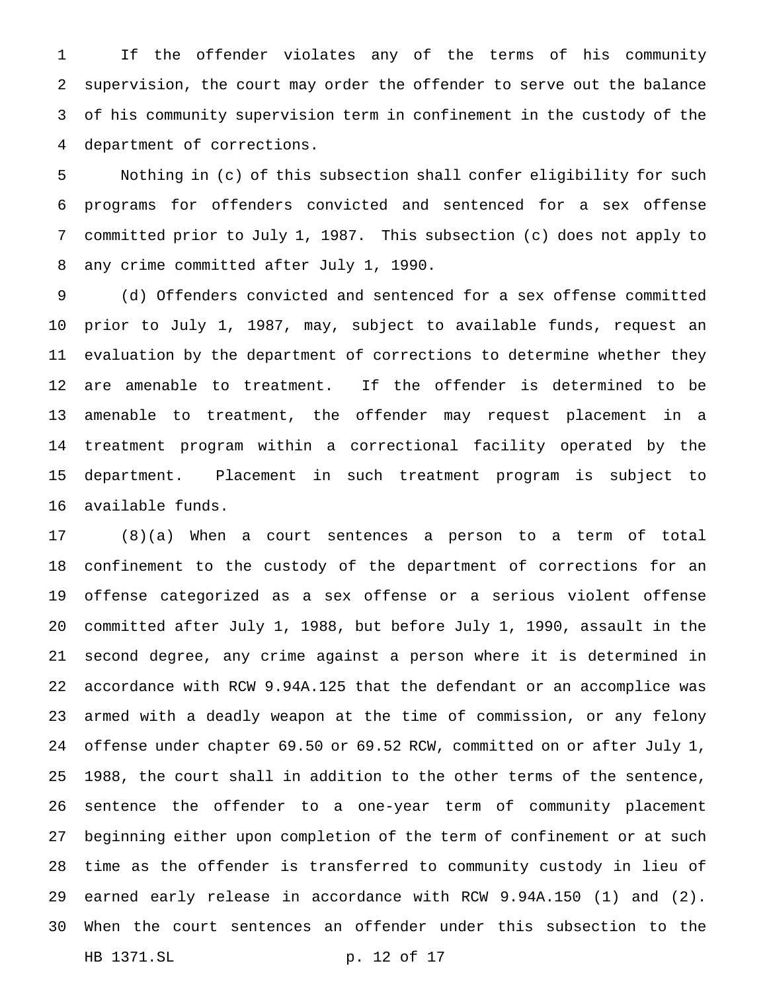If the offender violates any of the terms of his community supervision, the court may order the offender to serve out the balance of his community supervision term in confinement in the custody of the department of corrections.

 Nothing in (c) of this subsection shall confer eligibility for such programs for offenders convicted and sentenced for a sex offense committed prior to July 1, 1987. This subsection (c) does not apply to any crime committed after July 1, 1990.

 (d) Offenders convicted and sentenced for a sex offense committed prior to July 1, 1987, may, subject to available funds, request an evaluation by the department of corrections to determine whether they are amenable to treatment. If the offender is determined to be amenable to treatment, the offender may request placement in a treatment program within a correctional facility operated by the department. Placement in such treatment program is subject to available funds.

 (8)(a) When a court sentences a person to a term of total confinement to the custody of the department of corrections for an offense categorized as a sex offense or a serious violent offense committed after July 1, 1988, but before July 1, 1990, assault in the second degree, any crime against a person where it is determined in accordance with RCW 9.94A.125 that the defendant or an accomplice was armed with a deadly weapon at the time of commission, or any felony offense under chapter 69.50 or 69.52 RCW, committed on or after July 1, 1988, the court shall in addition to the other terms of the sentence, sentence the offender to a one-year term of community placement beginning either upon completion of the term of confinement or at such time as the offender is transferred to community custody in lieu of earned early release in accordance with RCW 9.94A.150 (1) and (2). When the court sentences an offender under this subsection to the HB 1371.SL p. 12 of 17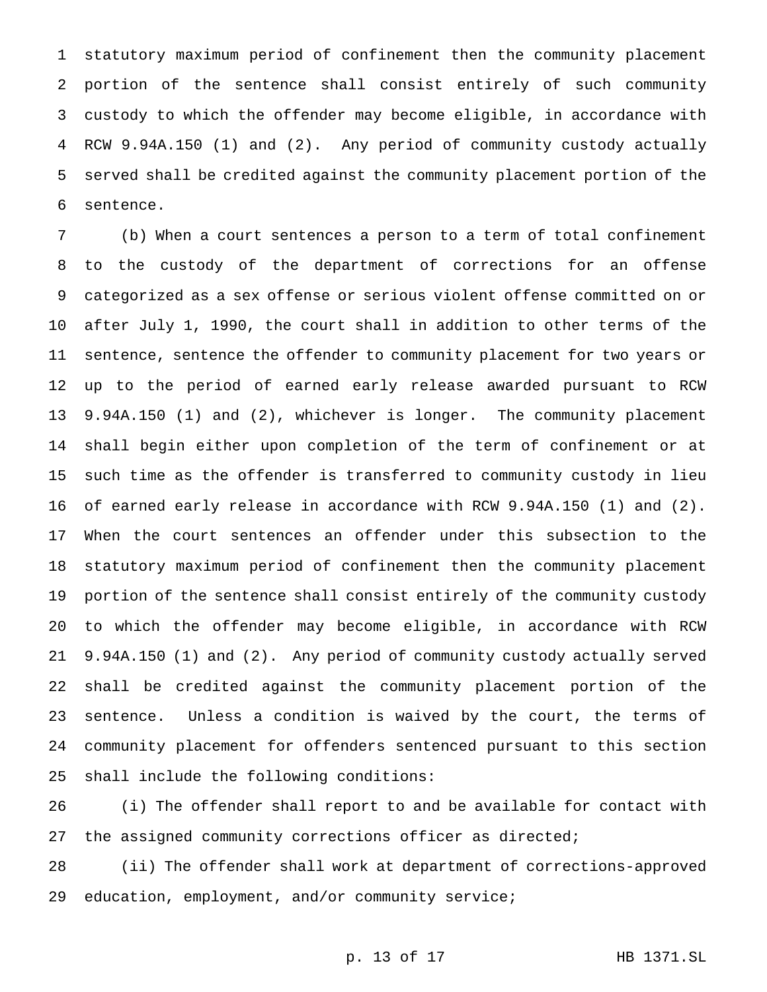statutory maximum period of confinement then the community placement portion of the sentence shall consist entirely of such community custody to which the offender may become eligible, in accordance with RCW 9.94A.150 (1) and (2). Any period of community custody actually served shall be credited against the community placement portion of the sentence.

 (b) When a court sentences a person to a term of total confinement to the custody of the department of corrections for an offense categorized as a sex offense or serious violent offense committed on or after July 1, 1990, the court shall in addition to other terms of the sentence, sentence the offender to community placement for two years or up to the period of earned early release awarded pursuant to RCW 9.94A.150 (1) and (2), whichever is longer. The community placement shall begin either upon completion of the term of confinement or at such time as the offender is transferred to community custody in lieu of earned early release in accordance with RCW 9.94A.150 (1) and (2). When the court sentences an offender under this subsection to the statutory maximum period of confinement then the community placement portion of the sentence shall consist entirely of the community custody to which the offender may become eligible, in accordance with RCW 9.94A.150 (1) and (2). Any period of community custody actually served shall be credited against the community placement portion of the sentence. Unless a condition is waived by the court, the terms of community placement for offenders sentenced pursuant to this section shall include the following conditions:

 (i) The offender shall report to and be available for contact with the assigned community corrections officer as directed;

 (ii) The offender shall work at department of corrections-approved education, employment, and/or community service;

```
p. 13 of 17 HB 1371.SL
```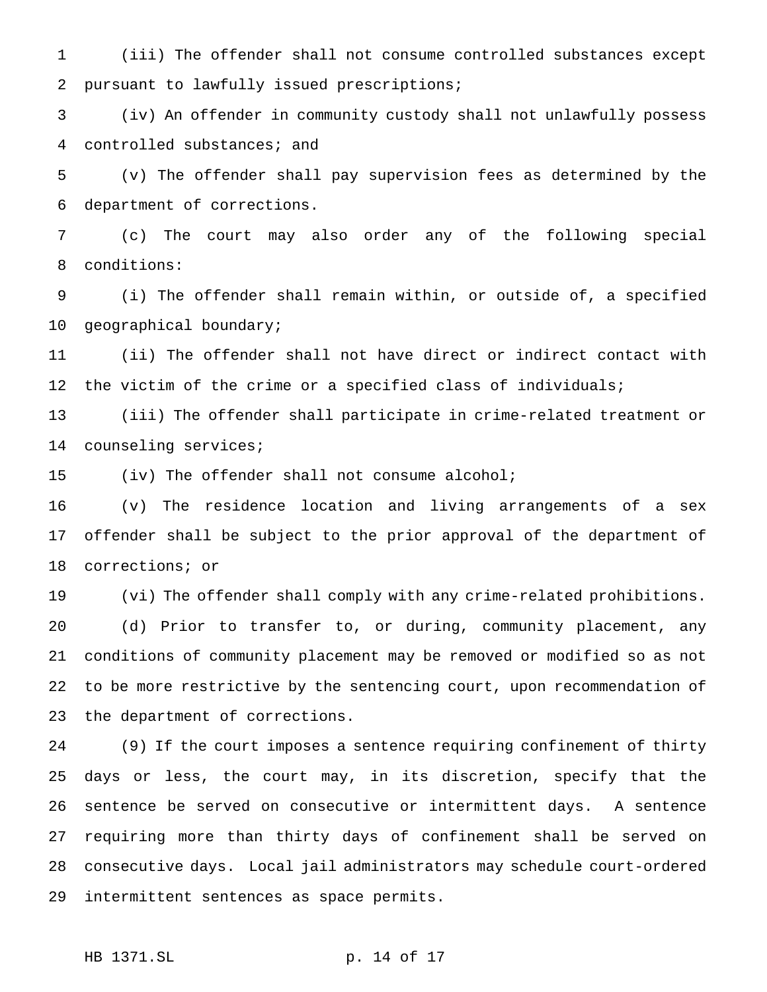(iii) The offender shall not consume controlled substances except pursuant to lawfully issued prescriptions;

 (iv) An offender in community custody shall not unlawfully possess controlled substances; and

 (v) The offender shall pay supervision fees as determined by the department of corrections.

 (c) The court may also order any of the following special conditions:

 (i) The offender shall remain within, or outside of, a specified geographical boundary;

 (ii) The offender shall not have direct or indirect contact with 12 the victim of the crime or a specified class of individuals;

 (iii) The offender shall participate in crime-related treatment or counseling services;

(iv) The offender shall not consume alcohol;

 (v) The residence location and living arrangements of a sex offender shall be subject to the prior approval of the department of corrections; or

 (vi) The offender shall comply with any crime-related prohibitions. (d) Prior to transfer to, or during, community placement, any conditions of community placement may be removed or modified so as not to be more restrictive by the sentencing court, upon recommendation of the department of corrections.

 (9) If the court imposes a sentence requiring confinement of thirty days or less, the court may, in its discretion, specify that the sentence be served on consecutive or intermittent days. A sentence requiring more than thirty days of confinement shall be served on consecutive days. Local jail administrators may schedule court-ordered intermittent sentences as space permits.

HB 1371.SL p. 14 of 17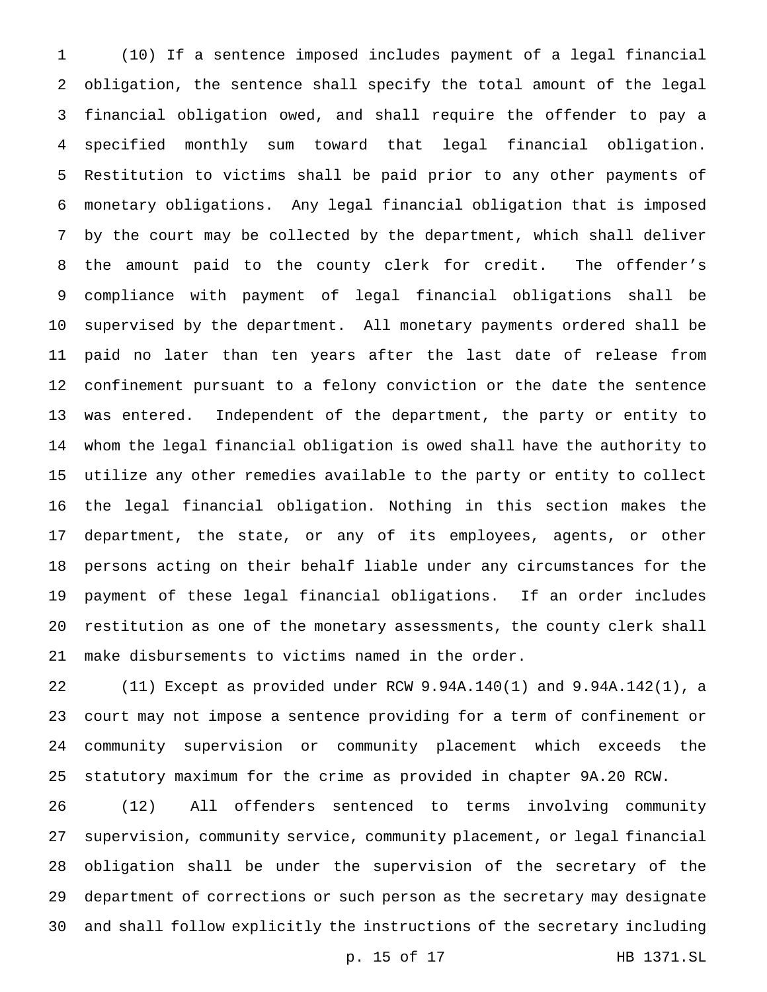(10) If a sentence imposed includes payment of a legal financial obligation, the sentence shall specify the total amount of the legal financial obligation owed, and shall require the offender to pay a specified monthly sum toward that legal financial obligation. Restitution to victims shall be paid prior to any other payments of monetary obligations. Any legal financial obligation that is imposed by the court may be collected by the department, which shall deliver the amount paid to the county clerk for credit. The offender's compliance with payment of legal financial obligations shall be supervised by the department. All monetary payments ordered shall be paid no later than ten years after the last date of release from confinement pursuant to a felony conviction or the date the sentence was entered. Independent of the department, the party or entity to whom the legal financial obligation is owed shall have the authority to utilize any other remedies available to the party or entity to collect the legal financial obligation. Nothing in this section makes the department, the state, or any of its employees, agents, or other persons acting on their behalf liable under any circumstances for the payment of these legal financial obligations. If an order includes restitution as one of the monetary assessments, the county clerk shall make disbursements to victims named in the order.

 (11) Except as provided under RCW 9.94A.140(1) and 9.94A.142(1), a court may not impose a sentence providing for a term of confinement or community supervision or community placement which exceeds the statutory maximum for the crime as provided in chapter 9A.20 RCW.

 (12) All offenders sentenced to terms involving community supervision, community service, community placement, or legal financial obligation shall be under the supervision of the secretary of the department of corrections or such person as the secretary may designate and shall follow explicitly the instructions of the secretary including

p. 15 of 17 HB 1371.SL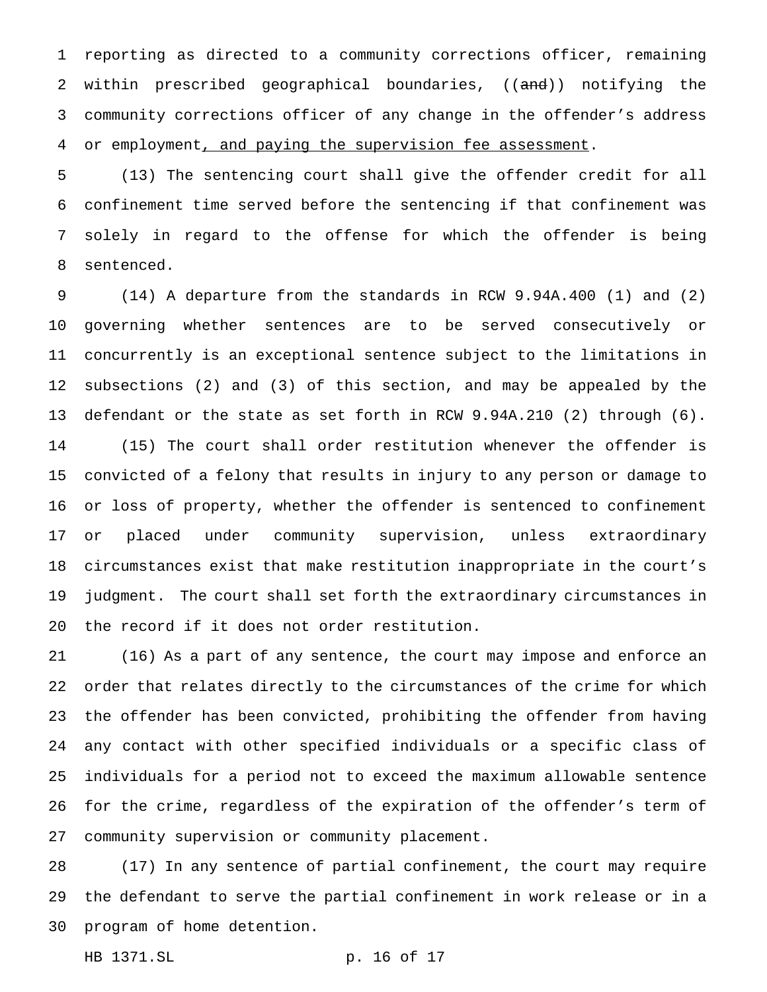reporting as directed to a community corrections officer, remaining 2 within prescribed geographical boundaries, ((and)) notifying the community corrections officer of any change in the offender's address 4 or employment, and paying the supervision fee assessment.

 (13) The sentencing court shall give the offender credit for all confinement time served before the sentencing if that confinement was solely in regard to the offense for which the offender is being sentenced.

 (14) A departure from the standards in RCW 9.94A.400 (1) and (2) governing whether sentences are to be served consecutively or concurrently is an exceptional sentence subject to the limitations in subsections (2) and (3) of this section, and may be appealed by the defendant or the state as set forth in RCW 9.94A.210 (2) through (6). (15) The court shall order restitution whenever the offender is convicted of a felony that results in injury to any person or damage to or loss of property, whether the offender is sentenced to confinement or placed under community supervision, unless extraordinary circumstances exist that make restitution inappropriate in the court's judgment. The court shall set forth the extraordinary circumstances in the record if it does not order restitution.

 (16) As a part of any sentence, the court may impose and enforce an order that relates directly to the circumstances of the crime for which the offender has been convicted, prohibiting the offender from having any contact with other specified individuals or a specific class of individuals for a period not to exceed the maximum allowable sentence for the crime, regardless of the expiration of the offender's term of community supervision or community placement.

 (17) In any sentence of partial confinement, the court may require the defendant to serve the partial confinement in work release or in a program of home detention.

HB 1371.SL p. 16 of 17